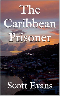# The Caribbean Prisoner

**A** Novel

## Scott Evans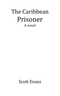### The Caribbean Prisoner A novel

Scott Evans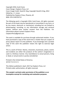Copyright 2016, Scott Evans Cover Design: Clayborn Press, LLC Cover Image Credit: David B. King, Copyright David B. King, 2012 Edited by: J. S. Jones Published by Clayborn Press, Phoenix, AZ IBSN: 978-1549703713

The following work is Copyright 2016, Scott Evans. All rights reserved. No part of this book may be reproduced or transmitted in any form, or by any means, electronic or mechanical, including but not limited to photocopying, recording, or any information storage and retrieval system, without prior written consent from the Publisher. For information please contact Clayborn Press: ClaybornPress@gmail.com

This work is available for purchase through authorized retailers. If you have purchased a copy of this work from a retailer that you suspect of piracy please report it to the publisher. If you knowingly own a pirated copy of this work the publisher retains the right to exercise legal action.

This is a work of fiction. Names, characters, businesses, places, events and incidents are either the products of the author's imagination or used in a fictitious manner. Any resemblance to actual persons, living or dead, or actual events is purely coincidental.

Printed in the United States of America. 10 9 8 7 6 5 4 3 2 1

This Edition published in April, 2017 by Clayborn Press, LLC Printed under authorization, all rights reserved.

**This sample is printed under permission of the publisher as an incomplete excerpt for marketing and evaluation purposes.**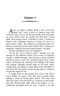#### **Chapter 1**

fter my father's sudden death, I felt so lost and alone that I took a leave of absence from San Francisco State. Just as my dad and brother and I had done ten years earlier when my mother had died after a long battle with ovarian cancer I decided to travel. I picked an island in the Caribbean, based on a poster I'd seen in a travel agent's office. But, despite its promising name, St. Thomas eventually proved more hellish than I could have imagined. I learned even more about despair. And guilt. A

And the redemptive power of vengeance.

On the day of my arrival, when I stepped over the doormat of the Midtown Hotel in the center of Charlotte Amalie, I walked through a dim hall into a small courtyard and felt at peace. Lush, tall, broad-leaf plants grew in the center, surrounded by stairways and landings with black iron railings. Sunlight burned high on the pink walls, casting deep cool shadows where green ferns flourished. It seemed at first the perfect serene setting where I could try to quell the anguish I felt.

A single room on the ground floor next to the office was available, so I took it. The door was a wooden frame holding a series of frosted glass panels. The room was clean but small. Over the bed was a transom of thin metal slats that allowed little light. Above the window, an airconditioner protruded from the wall. I turned it on, and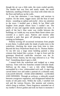though the air was a little stale, the room cooled quickly. The double bed was firm and neatly made, the small bathroom, smelling of bleach, was clean with white tiles on the floor and halfway up the walls.

It was late afternoon. I was hungry and anxious to explore. On the street, reggae music and the beat of steel drums - sounding so upbeat and joyful - drew my attention to the town. I strolled past a dimly lit bar filled with laughter from people whose faces I couldn't see. The smells of rum and cigarette smoke assaulted my nose. A patch of the bay's blue water was visible between the buildings, so I made my way across Main Street where cars crawled at a snail's pace. Natives and tourists alike crowded a park that gave off pleasing aroma of pork cooking on barbeques.

Politely waving off occasional invitations from people to join them, I walked under the shade of palm trees to the waterfront, checking the street map from time to time. Beyond the busy Waterfront Road was St. Thomas Harbor. To my left was a large stone building painted a deep crimson that looked like a prison. A sign in front said the grotesque blood-red castle-like structure was the St. Thomas Police Station, but the map referred to it as "The Fort". Something about it gave a chill.

I turned from the waterfront and trudged up a steep stairway. Trees with low branches created welcome shade. Halfway up the steps, I saw a tidy white building, surrounded by a low, whitewashed rock wall. A sign with carved letters over and under a portrait of a schooner read, GALLEON HOUSE - FOOD AND DRINKS - LUNCHES AND DINNERS. Through an archway, a sidewalk wound between overgrown vegetation, and disappeared behind the trunks of old palm trees. Within the walls, I smelled rich soil and the various flowers, like jasmine and wisteria, which clung to trellises. These fragrances reminded me of my mother's flower garden and took me back to moments I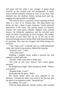had spent with her when I was younger. A green lizard scurried up the cracked wall and disappeared. A small, cream-colored butterfly floated in front of my face, then fluttered into the shadows before turning back and zigzagging through pockets of sunlight.

The stairway led to a spacious terrace opening on three sides to a view of St. Thomas Bay. The deep harbor lay below me like a sheet of pure turquoise. Yachts mirrored themselves in the water. The narrow streets of Charlotte Amalie, the steep green hillsides dappled with colorful houses, the iridescent vegetation, and the red-tiled roofs made me think of paintings by Paul Gauguin. My mother had loved art and often had me sit on her lap as she browsed through massive books filled with beautiful photos of paintings. The ones by Gauguin had been among her favorites.

"Can I help you?" A blonde man in a half-unbuttoned white shirt stood in the shadows behind the long bar.

"Fantastic view," I said.

"First time here?"

Nodding, I stepped closer, pulled a barstool out, and ordered a scotch and soda.

"Scotch? Folks come here to drink rum."

"Got sick on rum once. Doesn't have much appeal anymore."

He nodded knowingly while mixing my drink. "What's your name?"

"Randall Wake. Yours?"

He handed me the glass. "Mike."

We shook hands. Once my eyes adjusted to the dimness, I noticed the deep, rich wood of the bar top, like the deck of an expensive yacht. "Beautiful bar."

He nodded. "It's teak."

I slid my hand along the smooth surface, then scanned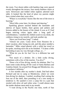the room. Two dozen tables with bamboo legs were spaced evenly throughout the terrace, four sturdy bamboo chairs at each. Silverware and folded white napkins adorned each table. It looked like the kind of place my parents might have visited when they were alive.

"Where is everybody? Seems like the rest of the town is buzzing."

"Most folks come later, for dinner and dancing."

Sparkling glasses stacked behind the bartender and shelves of liquor bottles, their greens and ambers and browns added to the beauty of the island. It was as if I had begun noticing colors again after a long spell of colorblindness. I smelled the chilled scotch in my drink, the coldness rising to my nostrils, and took another sip.

"Have you lived here long?" I asked.

"Almost ten years. Came down from Houston for a short vacation, after losing my job, and this place needed a bartender." Mike wiped glasses with a white bar towel as he spoke, stacking each one as he finished. "I'd done a little bartending to pay my way through college, so…"

"What do you do for fun? Go to a different bar and drink?"

"Not much of a drinker. Do a little scuba diving, sometimes with a few of the tourists. You dive?"

"Done a lot of free diving, mostly for abalone. But I've done some scuba diving off the coast of Santa Barbara and Catalina Island. Up around Fort Bragg and Mendocino, too, in northern California"

A few months after my mother's death, Dad had taken Richard and me to camp at Mendocino, where we went free-diving for abalone. I smiled, recalling Dad cutting the foot out of the shell, then pounding it on a tree stump to tenderize it. He sautéed it over a camp fire in a pan that sizzled with olive oil and white wine. I could almost taste the tender abalone meat melt in my mouth.

"I went diving in the Pacific one time, north of San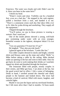Francisco. The water was cloudy and cold. Didn't care for it. Have you been in the water here?"

I shook my head.

"Water's warm and clear. Visibility can be a hundred feet, even on a bad day." He stepped to the cash register, pulled a brochure from a rack, and handed it to me. "There's a catamaran cruise each day that takes folks over to St. John for scuba diving and snorkeling. They supply all the equipment."

I flipped through the brochure.

"You'll notice, no one in those pictures is wearing a wetsuit. Don't need one."

One of the inside photos showed a young, well-built guy swimming under water with an even younger, bountiful woman in the tightest, skimpiest bikini I'd ever seen.

"Can you guarantee I'll meet her if I go?"

He laughed. "They also provide lunch."

I glanced again at the brochure. "Looks like fun."

Two older couples dressed in slacks and bright, colorful shirts and blouses came up the steps and called "Hello" to Mike before taking a table by the railing. Mike ducked under an opening in the bar and went to their table. Once he got back, he went to work making their drinks as I watched, sipped my drink and thumbed through the brochure.

The restaurant filled with people, mostly couples in their sixties, and Mike got busy. I sat alone at the bar, but the good scotch had its effect. I felt a sense of belonging. Drink in hand, I strolled around the cheerful and chatty people to the banister and looked down. The town had become a kind of carnival, filled with music, laughter, and colorful lights.

Maybe it was just the liquor and my newfound freedom, but I felt more alive than I had in months. I'd been numb